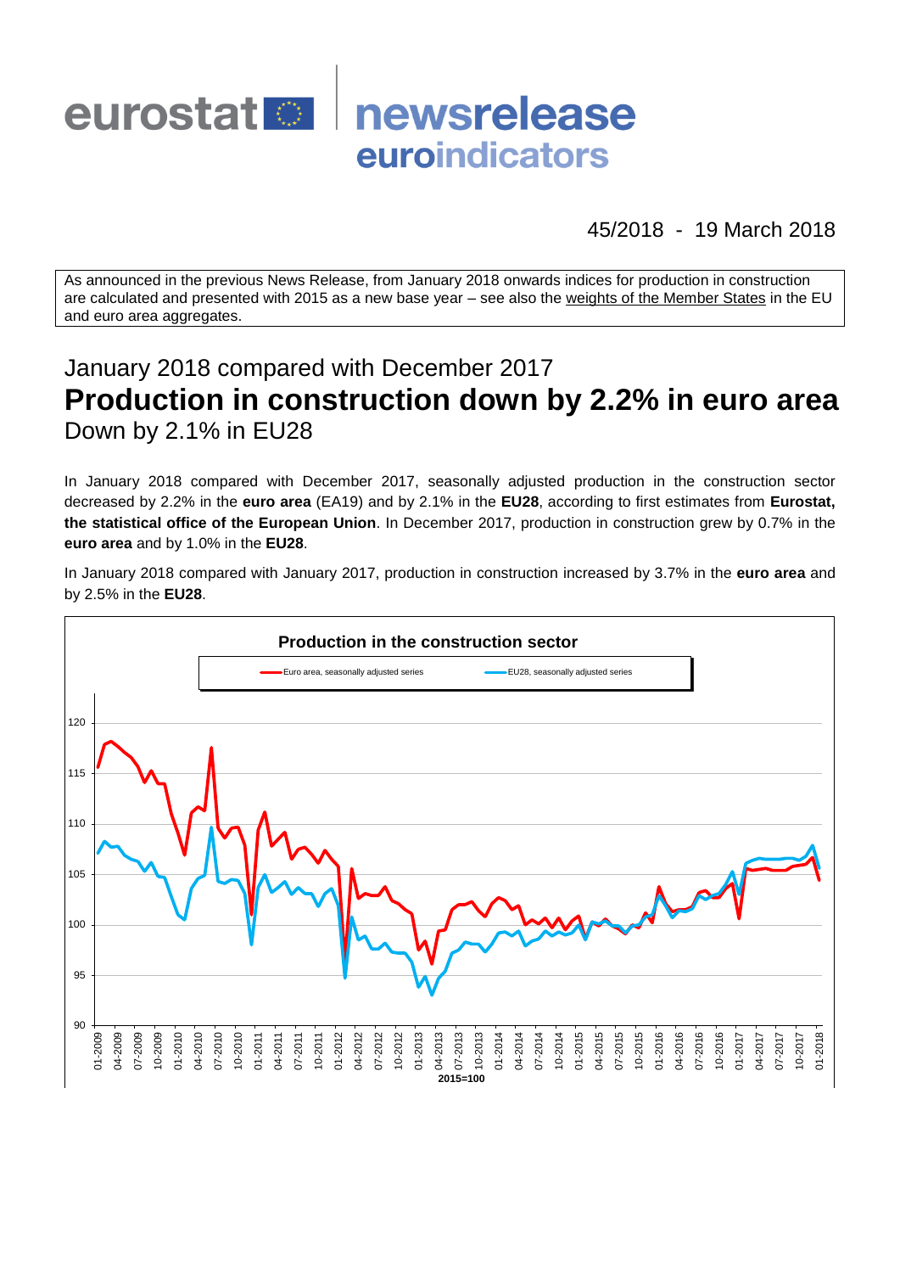

45/2018 - 19 March 2018

As announced in the previous News Release, from January 2018 onwards indices for production in construction are calculated and presented with 2015 as a new base year – see also the [weights of the Member States](https://circabc.europa.eu/w/browse/d72689ec-103e-41a8-81d1-2e5ea5f171f5) in the EU and euro area aggregates.

# January 2018 compared with December 2017 **Production in construction down by 2.2% in euro area** Down by 2.1% in EU28

In January 2018 compared with December 2017, seasonally adjusted production in the construction sector decreased by 2.2% in the **euro area** (EA19) and by 2.1% in the **EU28**, according to first estimates from **Eurostat, the statistical office of the European Union**. In December 2017, production in construction grew by 0.7% in the **euro area** and by 1.0% in the **EU28**.

In January 2018 compared with January 2017, production in construction increased by 3.7% in the **euro area** and by 2.5% in the **EU28**.

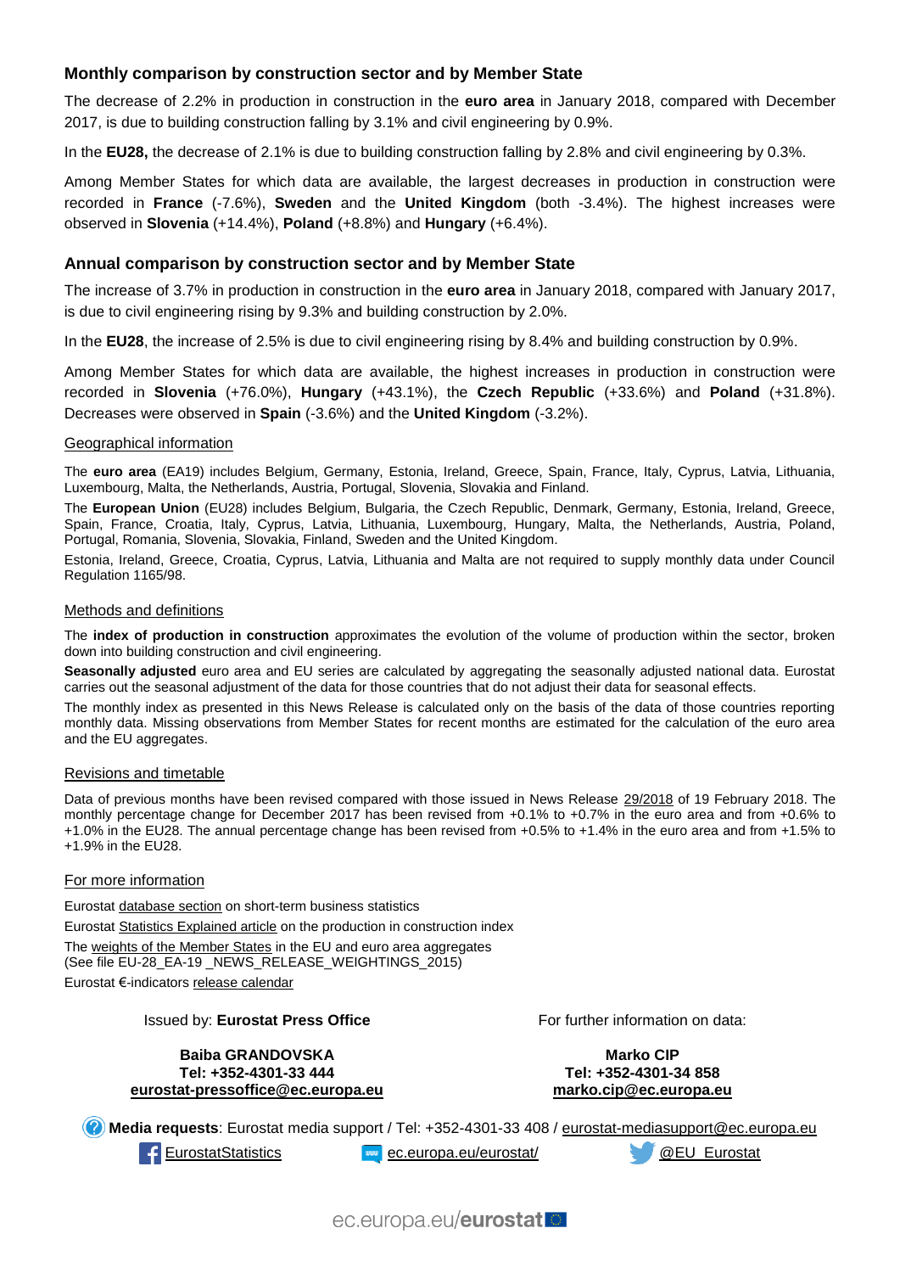### **Monthly comparison by construction sector and by Member State**

The decrease of 2.2% in production in construction in the **euro area** in January 2018, compared with December 2017, is due to building construction falling by 3.1% and civil engineering by 0.9%.

In the **EU28,** the decrease of 2.1% is due to building construction falling by 2.8% and civil engineering by 0.3%.

Among Member States for which data are available, the largest decreases in production in construction were recorded in **France** (-7.6%), **Sweden** and the **United Kingdom** (both -3.4%). The highest increases were observed in **Slovenia** (+14.4%), **Poland** (+8.8%) and **Hungary** (+6.4%).

#### **Annual comparison by construction sector and by Member State**

The increase of 3.7% in production in construction in the **euro area** in January 2018, compared with January 2017, is due to civil engineering rising by 9.3% and building construction by 2.0%.

In the **EU28**, the increase of 2.5% is due to civil engineering rising by 8.4% and building construction by 0.9%.

Among Member States for which data are available, the highest increases in production in construction were recorded in **Slovenia** (+76.0%), **Hungary** (+43.1%), the **Czech Republic** (+33.6%) and **Poland** (+31.8%). Decreases were observed in **Spain** (-3.6%) and the **United Kingdom** (-3.2%).

#### Geographical information

The **euro area** (EA19) includes Belgium, Germany, Estonia, Ireland, Greece, Spain, France, Italy, Cyprus, Latvia, Lithuania, Luxembourg, Malta, the Netherlands, Austria, Portugal, Slovenia, Slovakia and Finland.

The **European Union** (EU28) includes Belgium, Bulgaria, the Czech Republic, Denmark, Germany, Estonia, Ireland, Greece, Spain, France, Croatia, Italy, Cyprus, Latvia, Lithuania, Luxembourg, Hungary, Malta, the Netherlands, Austria, Poland, Portugal, Romania, Slovenia, Slovakia, Finland, Sweden and the United Kingdom.

Estonia, Ireland, Greece, Croatia, Cyprus, Latvia, Lithuania and Malta are not required to supply monthly data under Council Regulation 1165/98.

#### Methods and definitions

The **index of production in construction** approximates the evolution of the volume of production within the sector, broken down into building construction and civil engineering.

Seasonally adjusted euro area and EU series are calculated by aggregating the seasonally adjusted national data. Eurostat carries out the seasonal adjustment of the data for those countries that do not adjust their data for seasonal effects.

The monthly index as presented in this News Release is calculated only on the basis of the data of those countries reporting monthly data. Missing observations from Member States for recent months are estimated for the calculation of the euro area and the EU aggregates.

#### Revisions and timetable

Data of previous months have been revised compared with those issued in News Release [29/2018](http://ec.europa.eu/eurostat/documents/2995521/8677807/4-19022018-AP-EN.pdf/ffc6485a-378d-4582-833a-4358778abb46) of 19 February 2018. The monthly percentage change for December 2017 has been revised from +0.1% to +0.7% in the euro area and from +0.6% to +1.0% in the EU28. The annual percentage change has been revised from +0.5% to +1.4% in the euro area and from +1.5% to +1.9% in the EU28.

#### For more information

Eurosta[t database section](http://ec.europa.eu/eurostat/web/short-term-business-statistics/data/database) on short-term business statistics Eurosta[t Statistics Explained article](http://ec.europa.eu/eurostat/statistics-explained/index.php/Construction_production_(volume)_index_overview) on the production in construction index Th[e weights of the Member States](https://circabc.europa.eu/w/browse/d72689ec-103e-41a8-81d1-2e5ea5f171f5) in the EU and euro area aggregates (See file EU-28\_EA-19 \_NEWS\_RELEASE\_WEIGHTINGS\_2015) Eurostat €-indicator[s release calendar](http://ec.europa.eu/eurostat/news/release-calendar)

#### Issued by: **Eurostat Press Office**

**Baiba GRANDOVSKA Tel: +352-4301-33 444 [eurostat-pressoffice@ec.europa.eu](mailto:eurostat-pressoffice@ec.europa.eu)** For further information on data:

**Marko CIP Tel: +352-4301-34 858 [marko.cip@ec.europa.eu](mailto:marko.cip@ec.europa.eu)**

**Media requests**: Eurostat media support / Tel: +352-4301-33 408 / [eurostat-mediasupport@ec.europa.eu](mailto:eurostat-mediasupport@ec.europa.eu) [EurostatStatistics](http://www.facebook.com/EurostatStatistics) [ec.europa.eu/eurostat/](http://ec.europa.eu/eurostat/) [@EU\\_Eurostat](http://twitter.com/EU_Eurostat)

ec.europa.eu/eurostatlo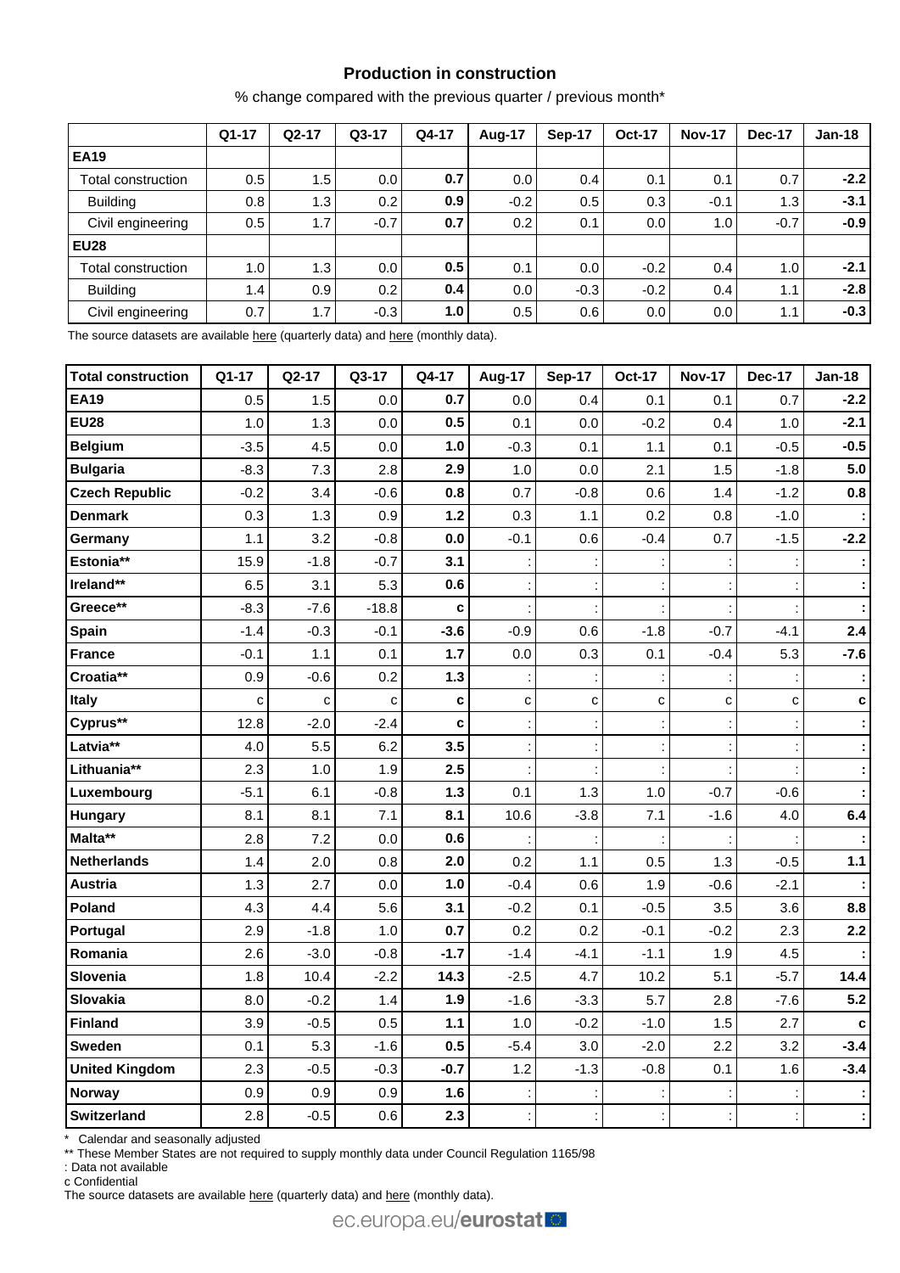# **Production in construction**

% change compared with the previous quarter / previous month\*

|                    | $Q1-17$ | $Q2-17$ | $Q3-17$ | Q4-17            | Aug-17 | Sep-17 | <b>Oct-17</b> | <b>Nov-17</b> | <b>Dec-17</b> | $Jan-18$ |
|--------------------|---------|---------|---------|------------------|--------|--------|---------------|---------------|---------------|----------|
| <b>EA19</b>        |         |         |         |                  |        |        |               |               |               |          |
| Total construction | 0.5     | 1.5     | 0.0     | 0.7              | 0.0    | 0.4    | 0.1           | 0.1           | 0.7           | $-2.2$   |
| <b>Building</b>    | 0.8     | 1.3     | 0.2     | 0.9 <sub>1</sub> | $-0.2$ | 0.5    | 0.3           | $-0.1$        | 1.3           | $-3.1$   |
| Civil engineering  | 0.5     | 1.7     | $-0.7$  | 0.7              | 0.2    | 0.1    | 0.0           | 1.0           | $-0.7$        | $-0.9$   |
| <b>EU28</b>        |         |         |         |                  |        |        |               |               |               |          |
| Total construction | 1.0     | 1.3     | 0.0     | 0.5              | 0.1    | 0.0    | $-0.2$        | 0.4           | 1.0           | $-2.1$   |
| <b>Building</b>    | 1.4     | 0.9     | 0.2     | 0.4              | 0.0    | $-0.3$ | $-0.2$        | 0.4           | 1.1           | $-2.8$   |
| Civil engineering  | 0.7     | 1.7     | $-0.3$  | 1.0 <sub>l</sub> | 0.5    | 0.6    | 0.0           | 0.0           | 1.1           | $-0.3$   |

The source datasets are available [here](http://appsso.eurostat.ec.europa.eu/nui/show.do?query=BOOKMARK_DS-069621_QID_-1D55C035_UID_-3F171EB0&layout=TIME,C,X,0;GEO,L,Y,0;NACE_R2,L,Y,1;INDIC_BT,L,Z,0;S_ADJ,L,Z,1;UNIT,L,Z,2;INDICATORS,C,Z,3;&zSelection=DS-069621UNIT,PCH_SM;DS-069621S_ADJ,CA;DS-069621INDICATORS,OBS_FLAG;DS-069621INDIC_BT,PROD;&rankName1=UNIT_1_2_-1_2&rankName2=INDIC-BT_1_2_-1_2&rankName3=INDICATORS_1_2_-1_2&rankName4=S-ADJ_1_2_-1_2&rankName5=TIME_1_0_0_0&rankName6=GEO_1_0_0_1&rankName7=NACE-R2_1_2_1_1&sortR=ASC_-1_FIRST&sortC=ASC_-1_FIRST&rStp=&cStp=&rDCh=&cDCh=&rDM=true&cDM=true&footnes=false&empty=false&wai=false&time_mode=ROLLING&time_most_recent=true&lang=EN&cfo=%23%23%23%2C%23%23%23.%23%23%23) (quarterly data) an[d here](http://appsso.eurostat.ec.europa.eu/nui/show.do?query=BOOKMARK_DS-069591_QID_58C109BA_UID_-3F171EB0&layout=TIME,C,X,0;GEO,L,Y,0;NACE_R2,L,Y,1;INDIC_BT,L,Z,0;S_ADJ,L,Z,1;UNIT,L,Z,2;INDICATORS,C,Z,3;&zSelection=DS-069591INDICATORS,OBS_FLAG;DS-069591S_ADJ,CA;DS-069591INDIC_BT,PROD;DS-069591UNIT,PCH_SM;&rankName1=UNIT_1_2_-1_2&rankName2=INDIC-BT_1_2_-1_2&rankName3=INDICATORS_1_2_-1_2&rankName4=S-ADJ_1_2_-1_2&rankName5=TIME_1_0_0_0&rankName6=GEO_1_0_0_1&rankName7=NACE-R2_1_2_1_1&sortR=ASC_-1_FIRST&sortC=ASC_-1_FIRST&rStp=&cStp=&rDCh=&cDCh=&rDM=true&cDM=true&footnes=false&empty=false&wai=false&time_mode=ROLLING&time_most_recent=true&lang=EN&cfo=%23%23%23%2C%23%23%23.%23%23%23) (monthly data).

| <b>Total construction</b> | Q1-17       | Q2-17       | Q3-17       | Q4-17  | <b>Aug-17</b> | <b>Sep-17</b> | <b>Oct-17</b> | <b>Nov-17</b> | <b>Dec-17</b> | <b>Jan-18</b> |
|---------------------------|-------------|-------------|-------------|--------|---------------|---------------|---------------|---------------|---------------|---------------|
| <b>EA19</b>               | 0.5         | 1.5         | 0.0         | 0.7    | 0.0           | 0.4           | 0.1           | 0.1           | 0.7           | $-2.2$        |
| <b>EU28</b>               | 1.0         | 1.3         | 0.0         | 0.5    | 0.1           | 0.0           | $-0.2$        | 0.4           | 1.0           | $-2.1$        |
| <b>Belgium</b>            | $-3.5$      | 4.5         | 0.0         | 1.0    | $-0.3$        | 0.1           | 1.1           | 0.1           | $-0.5$        | $-0.5$        |
| <b>Bulgaria</b>           | $-8.3$      | 7.3         | 2.8         | 2.9    | 1.0           | 0.0           | 2.1           | 1.5           | $-1.8$        | 5.0           |
| <b>Czech Republic</b>     | $-0.2$      | 3.4         | $-0.6$      | 0.8    | 0.7           | $-0.8$        | 0.6           | 1.4           | $-1.2$        | 0.8           |
| <b>Denmark</b>            | 0.3         | 1.3         | 0.9         | $1.2$  | 0.3           | 1.1           | 0.2           | 0.8           | $-1.0$        |               |
| Germany                   | 1.1         | 3.2         | $-0.8$      | 0.0    | $-0.1$        | 0.6           | $-0.4$        | 0.7           | $-1.5$        | $-2.2$        |
| Estonia**                 | 15.9        | $-1.8$      | $-0.7$      | 3.1    |               |               |               |               |               |               |
| Ireland**                 | 6.5         | 3.1         | 5.3         | 0.6    |               |               |               |               |               |               |
| Greece**                  | $-8.3$      | $-7.6$      | $-18.8$     | C      |               |               |               |               |               |               |
| Spain                     | $-1.4$      | $-0.3$      | $-0.1$      | $-3.6$ | $-0.9$        | 0.6           | $-1.8$        | $-0.7$        | $-4.1$        | 2.4           |
| <b>France</b>             | $-0.1$      | 1.1         | 0.1         | 1.7    | 0.0           | 0.3           | 0.1           | $-0.4$        | 5.3           | $-7.6$        |
| Croatia**                 | 0.9         | $-0.6$      | 0.2         | $1.3$  |               |               |               |               |               |               |
| Italy                     | $\mathbf c$ | $\mathbf c$ | $\mathbf C$ | C      | C             | C             | $\mathbf c$   | C             | C             | $\mathbf c$   |
| Cyprus**                  | 12.8        | $-2.0$      | $-2.4$      | c      |               |               |               |               |               |               |
| Latvia**                  | 4.0         | 5.5         | 6.2         | 3.5    |               |               |               |               |               | ÷             |
| Lithuania**               | 2.3         | 1.0         | 1.9         | 2.5    |               |               |               |               |               |               |
| Luxembourg                | $-5.1$      | 6.1         | $-0.8$      | $1.3$  | 0.1           | 1.3           | $1.0$         | $-0.7$        | $-0.6$        |               |
| Hungary                   | 8.1         | 8.1         | 7.1         | 8.1    | 10.6          | $-3.8$        | 7.1           | $-1.6$        | 4.0           | $6.4\,$       |
| Malta**                   | 2.8         | 7.2         | 0.0         | 0.6    |               |               |               |               |               | ÷             |
| <b>Netherlands</b>        | 1.4         | 2.0         | 0.8         | 2.0    | 0.2           | 1.1           | 0.5           | 1.3           | $-0.5$        | $1.1$         |
| Austria                   | 1.3         | 2.7         | 0.0         | 1.0    | $-0.4$        | 0.6           | 1.9           | $-0.6$        | $-2.1$        |               |
| Poland                    | 4.3         | 4.4         | 5.6         | 3.1    | $-0.2$        | 0.1           | $-0.5$        | 3.5           | 3.6           | 8.8           |
| Portugal                  | 2.9         | $-1.8$      | 1.0         | 0.7    | 0.2           | 0.2           | $-0.1$        | $-0.2$        | 2.3           | 2.2           |
| Romania                   | 2.6         | $-3.0$      | $-0.8$      | $-1.7$ | $-1.4$        | $-4.1$        | $-1.1$        | 1.9           | 4.5           |               |
| Slovenia                  | 1.8         | 10.4        | $-2.2$      | 14.3   | $-2.5$        | 4.7           | 10.2          | 5.1           | $-5.7$        | 14.4          |
| Slovakia                  | 8.0         | $-0.2$      | 1.4         | 1.9    | $-1.6$        | $-3.3$        | 5.7           | 2.8           | $-7.6$        | 5.2           |
| <b>Finland</b>            | 3.9         | $-0.5$      | 0.5         | $1.1$  | 1.0           | $-0.2$        | $-1.0$        | 1.5           | 2.7           | c             |
| <b>Sweden</b>             | 0.1         | 5.3         | $-1.6$      | 0.5    | $-5.4$        | 3.0           | $-2.0$        | 2.2           | 3.2           | $-3.4$        |
| <b>United Kingdom</b>     | 2.3         | $-0.5$      | $-0.3$      | $-0.7$ | 1.2           | $-1.3$        | $-0.8$        | 0.1           | 1.6           | $-3.4$        |
| <b>Norway</b>             | 0.9         | 0.9         | 0.9         | 1.6    |               |               |               |               |               |               |
| <b>Switzerland</b>        | 2.8         | $-0.5$      | 0.6         | 2.3    |               |               |               |               |               |               |

\* Calendar and seasonally adjusted

\*\* These Member States are not required to supply monthly data under Council Regulation 1165/98

: Data not available

c Confidential

The source datasets are available [here](http://appsso.eurostat.ec.europa.eu/nui/show.do?query=BOOKMARK_DS-069591_QID_6FE2C2A1_UID_-3F171EB0&layout=TIME,C,X,0;GEO,L,Y,0;INDIC_BT,L,Z,0;S_ADJ,L,Z,1;UNIT,L,Z,2;NACE_R2,L,Z,3;INDICATORS,C,Z,4;&zSelection=DS-069591NACE_R2,F;DS-069591INDICATORS,OBS_FLAG;DS-069591S_ADJ,SCA;DS-069591INDIC_BT,PROD;DS-069591UNIT,PCH_PRE;&rankName1=UNIT_1_2_-1_2&rankName2=INDIC-BT_1_2_-1_2&rankName3=INDICATORS_1_2_-1_2&rankName4=S-ADJ_1_2_-1_2&rankName5=NACE-R2_1_2_1_1&rankName6=TIME_1_0_0_0&rankName7=GEO_1_2_0_1&sortC=ASC_-1_FIRST&rStp=&cStp=&rDCh=&cDCh=&rDM=true&cDM=true&footnes=false&empty=false&wai=false&time_mode=ROLLING&time_most_recent=true&lang=EN&cfo=%23%23%23%2C%23%23%23.%23%23%23) (quarterly data) and here (monthly data).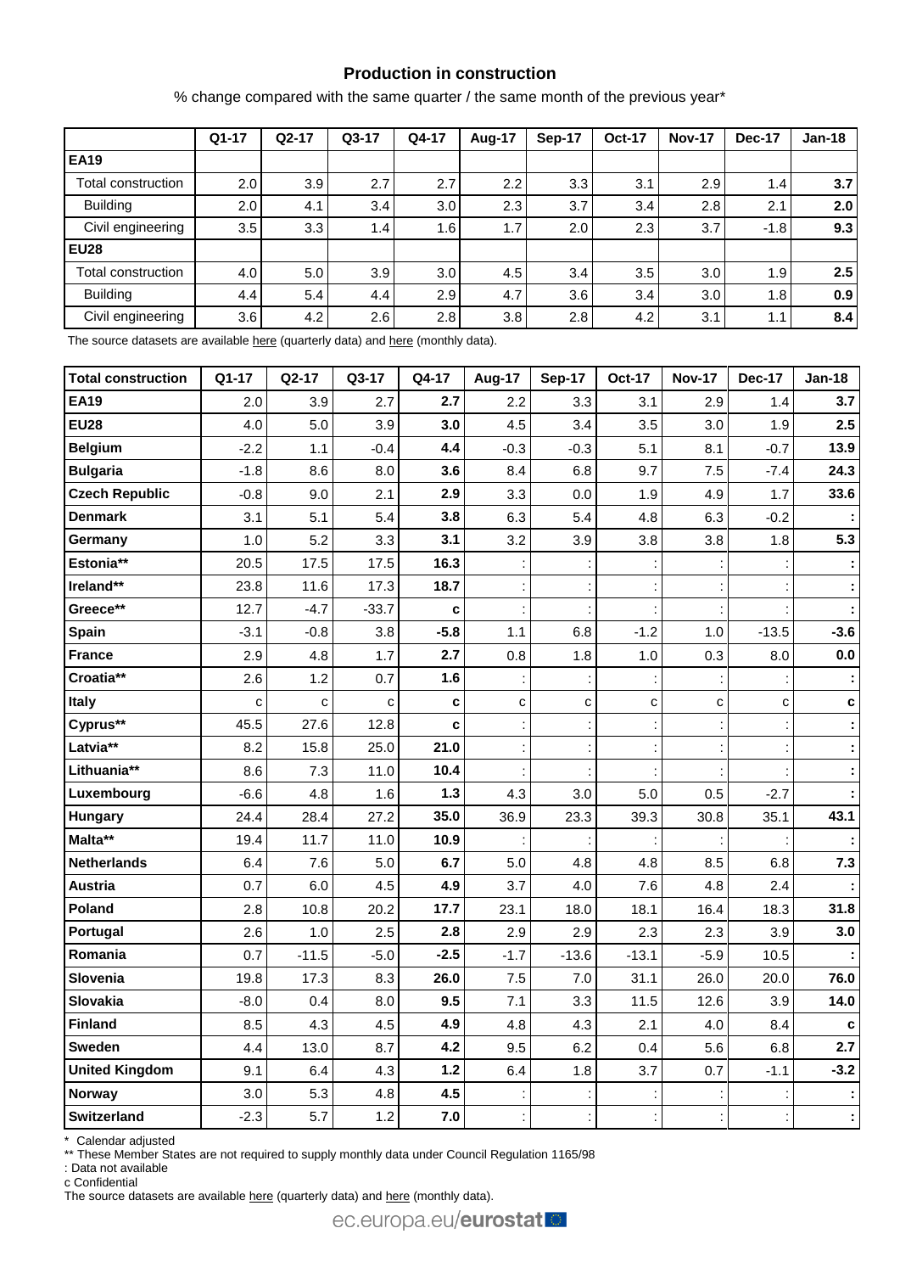# **Production in construction**

% change compared with the same quarter / the same month of the previous year\*

|                    | $Q1-17$ | $Q2-17$ | $Q3-17$ | Q4-17            | Aug-17 | Sep-17 | <b>Oct-17</b> | <b>Nov-17</b> | Dec-17        | <b>Jan-18</b>    |
|--------------------|---------|---------|---------|------------------|--------|--------|---------------|---------------|---------------|------------------|
| <b>EA19</b>        |         |         |         |                  |        |        |               |               |               |                  |
| Total construction | 2.0     | 3.9     | 2.7     | 2.7              | 2.2    | 3.3    | 3.1           | 2.9           | $1.4^{\circ}$ | 3.7 <sub>l</sub> |
| <b>Building</b>    | 2.0     | 4.1     | 3.4     | 3.0 <sub>1</sub> | 2.3    | 3.7    | 3.4           | 2.8           | 2.1           | 2.0              |
| Civil engineering  | 3.5     | 3.3     | 1.4     | 1.6              | 1.7    | 2.0    | 2.3           | 3.7           | $-1.8$        | 9.3              |
| <b>EU28</b>        |         |         |         |                  |        |        |               |               |               |                  |
| Total construction | 4.0     | 5.0     | 3.9     | 3.0 <sub>1</sub> | 4.5    | 3.4    | 3.5           | 3.0           | 1.9           | 2.5              |
| <b>Building</b>    | 4.4     | 5.4     | 4.4     | 2.9              | 4.7    | 3.6    | 3.4           | 3.0           | 1.8           | 0.9              |
| Civil engineering  | 3.6     | 4.2     | 2.6     | 2.8              | 3.8    | 2.8    | 4.2           | 3.1           | 1.1           | 8.4              |

The source datasets are available [here](http://appsso.eurostat.ec.europa.eu/nui/show.do?query=BOOKMARK_DS-069621_QID_66F9A0D6_UID_-3F171EB0&layout=TIME,C,X,0;GEO,L,Y,0;NACE_R2,L,Y,1;INDIC_BT,L,Z,0;S_ADJ,L,Z,1;UNIT,L,Z,2;INDICATORS,C,Z,3;&zSelection=DS-069621UNIT,PCH_SM;DS-069621S_ADJ,CA;DS-069621INDICATORS,OBS_FLAG;DS-069621INDIC_BT,PROD;&rankName1=UNIT_1_2_-1_2&rankName2=INDIC-BT_1_2_-1_2&rankName3=INDICATORS_1_2_-1_2&rankName4=S-ADJ_1_2_-1_2&rankName5=TIME_1_0_0_0&rankName6=GEO_1_0_0_1&rankName7=NACE-R2_1_2_1_1&sortR=ASC_-1_FIRST&sortC=ASC_-1_FIRST&rStp=&cStp=&rDCh=&cDCh=&rDM=true&cDM=true&footnes=false&empty=false&wai=false&time_mode=ROLLING&time_most_recent=true&lang=EN&cfo=%23%23%23%2C%23%23%23.%23%23%23) (quarterly data) and [here](http://appsso.eurostat.ec.europa.eu/nui/show.do?query=BOOKMARK_DS-069591_QID_7DF3E9C9_UID_-3F171EB0&layout=TIME,C,X,0;GEO,L,Y,0;NACE_R2,L,Y,1;INDIC_BT,L,Z,0;S_ADJ,L,Z,1;UNIT,L,Z,2;INDICATORS,C,Z,3;&zSelection=DS-069591INDICATORS,OBS_FLAG;DS-069591S_ADJ,SCA;DS-069591INDIC_BT,PROD;DS-069591UNIT,PCH_PRE;&rankName1=UNIT_1_2_-1_2&rankName2=INDIC-BT_1_2_-1_2&rankName3=INDICATORS_1_2_-1_2&rankName4=S-ADJ_1_2_-1_2&rankName5=TIME_1_0_0_0&rankName6=GEO_1_0_0_1&rankName7=NACE-R2_1_2_1_1&sortR=ASC_-1_FIRST&sortC=ASC_-1_FIRST&rStp=&cStp=&rDCh=&cDCh=&rDM=true&cDM=true&footnes=false&empty=false&wai=false&time_mode=ROLLING&time_most_recent=true&lang=EN&cfo=%23%23%23%2C%23%23%23.%23%23%23) (monthly data).

| <b>Total construction</b> | Q1-17        | Q2-17   | Q3-17        | Q4-17  | Aug-17      | <b>Sep-17</b> | <b>Oct-17</b>        | <b>Nov-17</b> | <b>Dec-17</b> | <b>Jan-18</b> |
|---------------------------|--------------|---------|--------------|--------|-------------|---------------|----------------------|---------------|---------------|---------------|
| <b>EA19</b>               | 2.0          | 3.9     | 2.7          | 2.7    | 2.2         | 3.3           | 3.1                  | 2.9           | 1.4           | 3.7           |
| <b>EU28</b>               | 4.0          | 5.0     | 3.9          | 3.0    | 4.5         | 3.4           | 3.5                  | 3.0           | 1.9           | 2.5           |
| <b>Belgium</b>            | $-2.2$       | 1.1     | $-0.4$       | 4.4    | $-0.3$      | $-0.3$        | 5.1                  | 8.1           | $-0.7$        | 13.9          |
| <b>Bulgaria</b>           | $-1.8$       | 8.6     | 8.0          | 3.6    | 8.4         | 6.8           | 9.7                  | 7.5           | $-7.4$        | 24.3          |
| <b>Czech Republic</b>     | $-0.8$       | 9.0     | 2.1          | 2.9    | 3.3         | 0.0           | 1.9                  | 4.9           | 1.7           | 33.6          |
| <b>Denmark</b>            | 3.1          | 5.1     | 5.4          | 3.8    | 6.3         | 5.4           | 4.8                  | 6.3           | $-0.2$        |               |
| Germany                   | 1.0          | 5.2     | 3.3          | 3.1    | 3.2         | 3.9           | 3.8                  | 3.8           | 1.8           | 5.3           |
| Estonia**                 | 20.5         | 17.5    | 17.5         | 16.3   |             |               |                      |               |               |               |
| Ireland**                 | 23.8         | 11.6    | 17.3         | 18.7   |             |               |                      |               |               |               |
| Greece**                  | 12.7         | $-4.7$  | $-33.7$      | c      |             |               |                      |               |               |               |
| Spain                     | $-3.1$       | $-0.8$  | 3.8          | $-5.8$ | 1.1         | 6.8           | $-1.2$               | 1.0           | $-13.5$       | $-3.6$        |
| <b>France</b>             | 2.9          | 4.8     | 1.7          | 2.7    | 0.8         | 1.8           | 1.0                  | 0.3           | 8.0           | $0.0\,$       |
| Croatia**                 | 2.6          | 1.2     | 0.7          | 1.6    |             |               |                      |               |               |               |
| Italy                     | $\mathbf{C}$ | C       | $\mathbf{C}$ | C      | $\mathbf c$ | C             | $\mathbf c$          | C             | C             | c             |
| Cyprus**                  | 45.5         | 27.6    | 12.8         | c      |             |               |                      |               |               |               |
| Latvia**                  | 8.2          | 15.8    | 25.0         | 21.0   |             |               |                      |               |               |               |
| Lithuania**               | 8.6          | 7.3     | 11.0         | 10.4   |             |               |                      |               |               |               |
| Luxembourg                | $-6.6$       | 4.8     | 1.6          | 1.3    | 4.3         | 3.0           | 5.0                  | 0.5           | $-2.7$        |               |
| <b>Hungary</b>            | 24.4         | 28.4    | 27.2         | 35.0   | 36.9        | 23.3          | 39.3                 | 30.8          | 35.1          | 43.1          |
| Malta**                   | 19.4         | 11.7    | 11.0         | 10.9   |             |               |                      |               |               |               |
| Netherlands               | 6.4          | 7.6     | 5.0          | 6.7    | 5.0         | 4.8           | 4.8                  | 8.5           | 6.8           | 7.3           |
| <b>Austria</b>            | 0.7          | 6.0     | 4.5          | 4.9    | 3.7         | 4.0           | 7.6                  | 4.8           | 2.4           |               |
| Poland                    | 2.8          | 10.8    | 20.2         | 17.7   | 23.1        | 18.0          | 18.1                 | 16.4          | 18.3          | 31.8          |
| Portugal                  | 2.6          | 1.0     | 2.5          | 2.8    | 2.9         | 2.9           | 2.3                  | 2.3           | 3.9           | 3.0           |
| Romania                   | 0.7          | $-11.5$ | $-5.0$       | $-2.5$ | $-1.7$      | $-13.6$       | $-13.1$              | $-5.9$        | 10.5          |               |
| Slovenia                  | 19.8         | 17.3    | 8.3          | 26.0   | 7.5         | 7.0           | 31.1                 | 26.0          | 20.0          | 76.0          |
| Slovakia                  | $-8.0$       | 0.4     | 8.0          | 9.5    | 7.1         | 3.3           | 11.5                 | 12.6          | 3.9           | 14.0          |
| <b>Finland</b>            | 8.5          | 4.3     | 4.5          | 4.9    | 4.8         | 4.3           | 2.1                  | 4.0           | 8.4           | $\mathbf c$   |
| <b>Sweden</b>             | 4.4          | 13.0    | 8.7          | 4.2    | 9.5         | 6.2           | 0.4                  | 5.6           | 6.8           | 2.7           |
| <b>United Kingdom</b>     | 9.1          | 6.4     | 4.3          | $1.2$  | 6.4         | 1.8           | 3.7                  | 0.7           | $-1.1$        | $-3.2$        |
| <b>Norway</b>             | 3.0          | 5.3     | 4.8          | 4.5    |             |               |                      |               |               |               |
| <b>Switzerland</b>        | $-2.3$       | 5.7     | 1.2          | 7.0    |             |               | $\ddot{\phantom{a}}$ | Ì.            | ÷             |               |

\* Calendar adjusted

\*\* These Member States are not required to supply monthly data under Council Regulation 1165/98

: Data not available

c Confidential

The source datasets are available [here](http://appsso.eurostat.ec.europa.eu/nui/show.do?query=BOOKMARK_DS-069591_QID_-16144A81_UID_-3F171EB0&layout=TIME,C,X,0;GEO,L,Y,0;INDIC_BT,L,Z,0;S_ADJ,L,Z,1;UNIT,L,Z,2;NACE_R2,L,Z,3;INDICATORS,C,Z,4;&zSelection=DS-069591NACE_R2,F;DS-069591INDICATORS,OBS_FLAG;DS-069591S_ADJ,SCA;DS-069591INDIC_BT,PROD;DS-069591UNIT,PCH_PRE;&rankName1=UNIT_1_2_-1_2&rankName2=INDIC-BT_1_2_-1_2&rankName3=INDICATORS_1_2_-1_2&rankName4=S-ADJ_1_2_-1_2&rankName5=NACE-R2_1_2_1_1&rankName6=TIME_1_0_0_0&rankName7=GEO_1_2_0_1&sortC=ASC_-1_FIRST&rStp=&cStp=&rDCh=&cDCh=&rDM=true&cDM=true&footnes=false&empty=false&wai=false&time_mode=ROLLING&time_most_recent=true&lang=EN&cfo=%23%23%23%2C%23%23%23.%23%23%23) (quarterly data) and here (monthly data).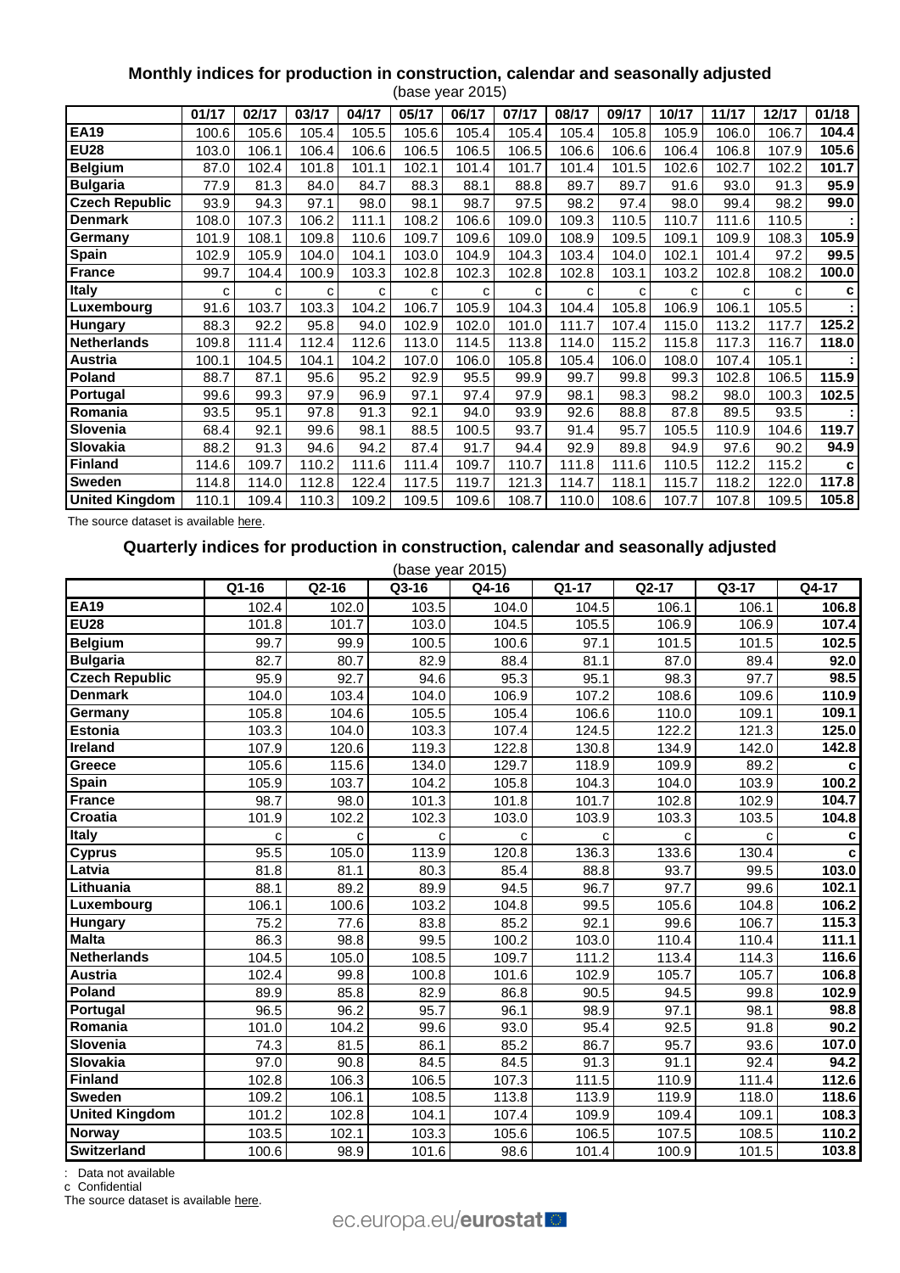# **Monthly indices for production in construction, calendar and seasonally adjusted**

|                       |       |       |       |       |       | (base year 2015) |       |       |       |       |       |       |       |
|-----------------------|-------|-------|-------|-------|-------|------------------|-------|-------|-------|-------|-------|-------|-------|
|                       | 01/17 | 02/17 | 03/17 | 04/17 | 05/17 | 06/17            | 07/17 | 08/17 | 09/17 | 10/17 | 11/17 | 12/17 | 01/18 |
| <b>EA19</b>           | 100.6 | 105.6 | 105.4 | 105.5 | 105.6 | 105.4            | 105.4 | 105.4 | 105.8 | 105.9 | 106.0 | 106.7 | 104.4 |
| <b>EU28</b>           | 103.0 | 106.1 | 106.4 | 106.6 | 106.5 | 106.5            | 106.5 | 106.6 | 106.6 | 106.4 | 106.8 | 107.9 | 105.6 |
| <b>Belgium</b>        | 87.0  | 102.4 | 101.8 | 101.1 | 102.1 | 101.4            | 101.7 | 101.4 | 101.5 | 102.6 | 102.7 | 102.2 | 101.7 |
| <b>Bulgaria</b>       | 77.9  | 81.3  | 84.0  | 84.7  | 88.3  | 88.1             | 88.8  | 89.7  | 89.7  | 91.6  | 93.0  | 91.3  | 95.9  |
| <b>Czech Republic</b> | 93.9  | 94.3  | 97.1  | 98.0  | 98.1  | 98.7             | 97.5  | 98.2  | 97.4  | 98.0  | 99.4  | 98.2  | 99.0  |
| <b>Denmark</b>        | 108.0 | 107.3 | 106.2 | 111.1 | 108.2 | 106.6            | 109.0 | 109.3 | 110.5 | 110.7 | 111.6 | 110.5 |       |
| Germany               | 101.9 | 108.1 | 109.8 | 110.6 | 109.7 | 109.6            | 109.0 | 108.9 | 109.5 | 109.1 | 109.9 | 108.3 | 105.9 |
| <b>Spain</b>          | 102.9 | 105.9 | 104.0 | 104.1 | 103.0 | 104.9            | 104.3 | 103.4 | 104.0 | 102.1 | 101.4 | 97.2  | 99.5  |
| <b>France</b>         | 99.7  | 104.4 | 100.9 | 103.3 | 102.8 | 102.3            | 102.8 | 102.8 | 103.1 | 103.2 | 102.8 | 108.2 | 100.0 |
| <b>Italy</b>          | c     | С     | С     | C     | C     | С                | c     | c     | C     | C     | C     | с     | c     |
| Luxembourg            | 91.6  | 103.7 | 103.3 | 104.2 | 106.7 | 105.9            | 104.3 | 104.4 | 105.8 | 106.9 | 106.1 | 105.5 |       |
| <b>Hungary</b>        | 88.3  | 92.2  | 95.8  | 94.0  | 102.9 | 102.0            | 101.0 | 111.7 | 107.4 | 115.0 | 113.2 | 117.7 | 125.2 |
| <b>Netherlands</b>    | 109.8 | 111.4 | 112.4 | 112.6 | 113.0 | 114.5            | 113.8 | 114.0 | 115.2 | 115.8 | 117.3 | 116.7 | 118.0 |
| Austria               | 100.1 | 104.5 | 104.1 | 104.2 | 107.0 | 106.0            | 105.8 | 105.4 | 106.0 | 108.0 | 107.4 | 105.1 |       |
| <b>Poland</b>         | 88.7  | 87.1  | 95.6  | 95.2  | 92.9  | 95.5             | 99.9  | 99.7  | 99.8  | 99.3  | 102.8 | 106.5 | 115.9 |
| Portugal              | 99.6  | 99.3  | 97.9  | 96.9  | 97.1  | 97.4             | 97.9  | 98.1  | 98.3  | 98.2  | 98.0  | 100.3 | 102.5 |
| Romania               | 93.5  | 95.1  | 97.8  | 91.3  | 92.1  | 94.0             | 93.9  | 92.6  | 88.8  | 87.8  | 89.5  | 93.5  |       |
| Slovenia              | 68.4  | 92.1  | 99.6  | 98.1  | 88.5  | 100.5            | 93.7  | 91.4  | 95.7  | 105.5 | 110.9 | 104.6 | 119.7 |
| Slovakia              | 88.2  | 91.3  | 94.6  | 94.2  | 87.4  | 91.7             | 94.4  | 92.9  | 89.8  | 94.9  | 97.6  | 90.2  | 94.9  |
| <b>Finland</b>        | 114.6 | 109.7 | 110.2 | 111.6 | 111.4 | 109.7            | 110.7 | 111.8 | 111.6 | 110.5 | 112.2 | 115.2 | c     |
| <b>Sweden</b>         | 114.8 | 114.0 | 112.8 | 122.4 | 117.5 | 119.7            | 121.3 | 114.7 | 118.1 | 115.7 | 118.2 | 122.0 | 117.8 |
| <b>United Kingdom</b> | 110.1 | 109.4 | 110.3 | 109.2 | 109.5 | 109.6            | 108.7 | 110.0 | 108.6 | 107.7 | 107.8 | 109.5 | 105.8 |

The source dataset is availabl[e here.](http://appsso.eurostat.ec.europa.eu/nui/show.do?query=BOOKMARK_DS-069591_QID_47E739CD_UID_-3F171EB0&layout=TIME,C,X,0;GEO,L,Y,0;INDIC_BT,L,Z,0;S_ADJ,L,Z,1;UNIT,L,Z,2;NACE_R2,L,Z,3;INDICATORS,C,Z,4;&zSelection=DS-069591NACE_R2,F;DS-069591INDICATORS,OBS_FLAG;DS-069591S_ADJ,CA;DS-069591INDIC_BT,PROD;DS-069591UNIT,PCH_SM;&rankName1=UNIT_1_2_-1_2&rankName2=INDIC-BT_1_2_-1_2&rankName3=INDICATORS_1_2_-1_2&rankName4=S-ADJ_1_2_-1_2&rankName5=NACE-R2_1_2_1_1&rankName6=TIME_1_0_0_0&rankName7=GEO_1_2_0_1&sortC=ASC_-1_FIRST&rStp=&cStp=&rDCh=&cDCh=&rDM=true&cDM=true&footnes=false&empty=false&wai=false&time_mode=ROLLING&time_most_recent=true&lang=EN&cfo=%23%23%23%2C%23%23%23.%23%23%23)

# **Quarterly indices for production in construction, calendar and seasonally adjusted**

| (base year 2015)      |       |       |       |                    |       |              |       |              |  |  |  |  |
|-----------------------|-------|-------|-------|--------------------|-------|--------------|-------|--------------|--|--|--|--|
|                       | Q1-16 | Q2-16 | Q3-16 | $\overline{Q4-16}$ | Q1-17 | Q2-17        | Q3-17 | Q4-17        |  |  |  |  |
| <b>EA19</b>           | 102.4 | 102.0 | 103.5 | 104.0              | 104.5 | 106.1        | 106.1 | 106.8        |  |  |  |  |
| <b>EU28</b>           | 101.8 | 101.7 | 103.0 | 104.5              | 105.5 | 106.9        | 106.9 | 107.4        |  |  |  |  |
| <b>Belgium</b>        | 99.7  | 99.9  | 100.5 | 100.6              | 97.1  | 101.5        | 101.5 | 102.5        |  |  |  |  |
| <b>Bulgaria</b>       | 82.7  | 80.7  | 82.9  | 88.4               | 81.1  | 87.0         | 89.4  | 92.0         |  |  |  |  |
| <b>Czech Republic</b> | 95.9  | 92.7  | 94.6  | 95.3               | 95.1  | 98.3         | 97.7  | 98.5         |  |  |  |  |
| <b>Denmark</b>        | 104.0 | 103.4 | 104.0 | 106.9              | 107.2 | 108.6        | 109.6 | 110.9        |  |  |  |  |
| Germany               | 105.8 | 104.6 | 105.5 | 105.4              | 106.6 | 110.0        | 109.1 | 109.1        |  |  |  |  |
| <b>Estonia</b>        | 103.3 | 104.0 | 103.3 | 107.4              | 124.5 | 122.2        | 121.3 | 125.0        |  |  |  |  |
| Ireland               | 107.9 | 120.6 | 119.3 | 122.8              | 130.8 | 134.9        | 142.0 | 142.8        |  |  |  |  |
| Greece                | 105.6 | 115.6 | 134.0 | 129.7              | 118.9 | 109.9        | 89.2  | c            |  |  |  |  |
| Spain                 | 105.9 | 103.7 | 104.2 | 105.8              | 104.3 | 104.0        | 103.9 | 100.2        |  |  |  |  |
| <b>France</b>         | 98.7  | 98.0  | 101.3 | 101.8              | 101.7 | 102.8        | 102.9 | 104.7        |  |  |  |  |
| Croatia               | 101.9 | 102.2 | 102.3 | 103.0              | 103.9 | 103.3        | 103.5 | 104.8        |  |  |  |  |
| <b>Italy</b>          | C     | C     | C     | C                  | C     | $\mathbf{C}$ | C     | c            |  |  |  |  |
| <b>Cyprus</b>         | 95.5  | 105.0 | 113.9 | 120.8              | 136.3 | 133.6        | 130.4 | $\mathbf{c}$ |  |  |  |  |
| Latvia                | 81.8  | 81.1  | 80.3  | 85.4               | 88.8  | 93.7         | 99.5  | 103.0        |  |  |  |  |
| Lithuania             | 88.1  | 89.2  | 89.9  | 94.5               | 96.7  | 97.7         | 99.6  | 102.1        |  |  |  |  |
| Luxembourg            | 106.1 | 100.6 | 103.2 | 104.8              | 99.5  | 105.6        | 104.8 | 106.2        |  |  |  |  |
| <b>Hungary</b>        | 75.2  | 77.6  | 83.8  | 85.2               | 92.1  | 99.6         | 106.7 | 115.3        |  |  |  |  |
| <b>Malta</b>          | 86.3  | 98.8  | 99.5  | 100.2              | 103.0 | 110.4        | 110.4 | 111.1        |  |  |  |  |
| <b>Netherlands</b>    | 104.5 | 105.0 | 108.5 | 109.7              | 111.2 | 113.4        | 114.3 | 116.6        |  |  |  |  |
| <b>Austria</b>        | 102.4 | 99.8  | 100.8 | 101.6              | 102.9 | 105.7        | 105.7 | 106.8        |  |  |  |  |
| Poland                | 89.9  | 85.8  | 82.9  | 86.8               | 90.5  | 94.5         | 99.8  | 102.9        |  |  |  |  |
| Portugal              | 96.5  | 96.2  | 95.7  | 96.1               | 98.9  | 97.1         | 98.1  | 98.8         |  |  |  |  |
| Romania               | 101.0 | 104.2 | 99.6  | 93.0               | 95.4  | 92.5         | 91.8  | 90.2         |  |  |  |  |
| Slovenia              | 74.3  | 81.5  | 86.1  | 85.2               | 86.7  | 95.7         | 93.6  | 107.0        |  |  |  |  |
| <b>Slovakia</b>       | 97.0  | 90.8  | 84.5  | 84.5               | 91.3  | 91.1         | 92.4  | 94.2         |  |  |  |  |
| <b>Finland</b>        | 102.8 | 106.3 | 106.5 | 107.3              | 111.5 | 110.9        | 111.4 | 112.6        |  |  |  |  |
| Sweden                | 109.2 | 106.1 | 108.5 | 113.8              | 113.9 | 119.9        | 118.0 | 118.6        |  |  |  |  |
| <b>United Kingdom</b> | 101.2 | 102.8 | 104.1 | 107.4              | 109.9 | 109.4        | 109.1 | 108.3        |  |  |  |  |
| Norway                | 103.5 | 102.1 | 103.3 | 105.6              | 106.5 | 107.5        | 108.5 | 110.2        |  |  |  |  |
| <b>Switzerland</b>    | 100.6 | 98.9  | 101.6 | 98.6               | 101.4 | 100.9        | 101.5 | 103.8        |  |  |  |  |

: Data not available

c Confidential

The source dataset is available [here.](http://appsso.eurostat.ec.europa.eu/nui/show.do?query=BOOKMARK_DS-069621_QID_38FDA4CE_UID_-3F171EB0&layout=TIME,C,X,0;GEO,L,Y,0;INDIC_BT,L,Z,0;NACE_R2,L,Z,1;S_ADJ,L,Z,2;UNIT,L,Z,3;INDICATORS,C,Z,4;&zSelection=DS-069621UNIT,I10;DS-069621S_ADJ,CA;DS-069621NACE_R2,F;DS-069621INDICATORS,OBS_FLAG;DS-069621INDIC_BT,PROD;&rankName1=UNIT_1_2_-1_2&rankName2=INDIC-BT_1_2_-1_2&rankName3=INDICATORS_1_2_-1_2&rankName4=S-ADJ_1_2_-1_2&rankName5=NACE-R2_1_2_-1_2&rankName6=TIME_1_0_0_0&rankName7=GEO_1_2_0_1&sortC=ASC_-1_FIRST&rStp=&cStp=&rDCh=&cDCh=&rDM=true&cDM=true&footnes=false&empty=false&wai=false&time_mode=ROLLING&time_most_recent=true&lang=EN&cfo=%23%23%23%2C%23%23%23.%23%23%23)